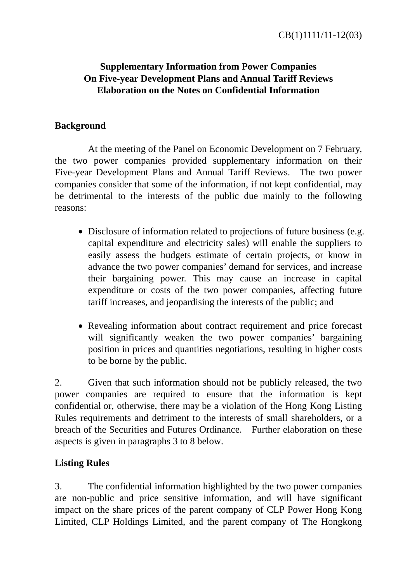# **Supplementary Information from Power Companies On Five-year Development Plans and Annual Tariff Reviews Elaboration on the Notes on Confidential Information**

## **Background**

 At the meeting of the Panel on Economic Development on 7 February, the two power companies provided supplementary information on their Five-year Development Plans and Annual Tariff Reviews. The two power companies consider that some of the information, if not kept confidential, may be detrimental to the interests of the public due mainly to the following reasons:

- Disclosure of information related to projections of future business (e.g. capital expenditure and electricity sales) will enable the suppliers to easily assess the budgets estimate of certain projects, or know in advance the two power companies' demand for services, and increase their bargaining power. This may cause an increase in capital expenditure or costs of the two power companies, affecting future tariff increases, and jeopardising the interests of the public; and
- Revealing information about contract requirement and price forecast will significantly weaken the two power companies' bargaining position in prices and quantities negotiations, resulting in higher costs to be borne by the public.

2. Given that such information should not be publicly released, the two power companies are required to ensure that the information is kept confidential or, otherwise, there may be a violation of the Hong Kong Listing Rules requirements and detriment to the interests of small shareholders, or a breach of the Securities and Futures Ordinance. Further elaboration on these aspects is given in paragraphs 3 to 8 below.

# **Listing Rules**

3. The confidential information highlighted by the two power companies are non-public and price sensitive information, and will have significant impact on the share prices of the parent company of CLP Power Hong Kong Limited, CLP Holdings Limited, and the parent company of The Hongkong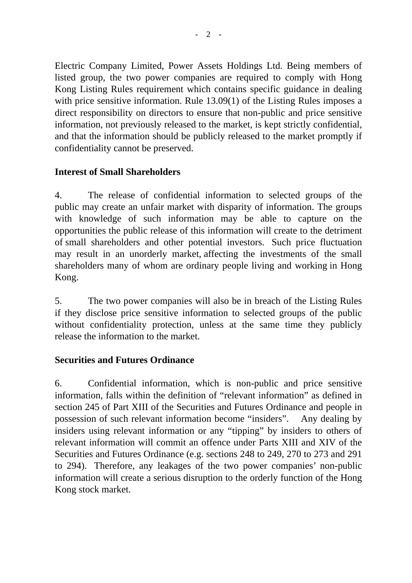Electric Company Limited, Power Assets Holdings Ltd. Being members of listed group, the two power companies are required to comply with Hong Kong Listing Rules requirement which contains specific guidance in dealing with price sensitive information. Rule 13.09(1) of the Listing Rules imposes a direct responsibility on directors to ensure that non-public and price sensitive information, not previously released to the market, is kept strictly confidential, and that the information should be publicly released to the market promptly if confidentiality cannot be preserved.

## **Interest of Small Shareholders**

4. The release of confidential information to selected groups of the public may create an unfair market with disparity of information. The groups with knowledge of such information may be able to capture on the opportunities the public release of this information will create to the detriment of small shareholders and other potential investors. Such price fluctuation may result in an unorderly market, affecting the investments of the small shareholders many of whom are ordinary people living and working in Hong Kong.

5. The two power companies will also be in breach of the Listing Rules if they disclose price sensitive information to selected groups of the public without confidentiality protection, unless at the same time they publicly release the information to the market.

### **Securities and Futures Ordinance**

6. Confidential information, which is non-public and price sensitive information, falls within the definition of "relevant information" as defined in section 245 of Part XIII of the Securities and Futures Ordinance and people in possession of such relevant information become "insiders". Any dealing by insiders using relevant information or any "tipping" by insiders to others of relevant information will commit an offence under Parts XIII and XIV of the Securities and Futures Ordinance (e.g. sections 248 to 249, 270 to 273 and 291 to 294). Therefore, any leakages of the two power companies' non-public information will create a serious disruption to the orderly function of the Hong Kong stock market.